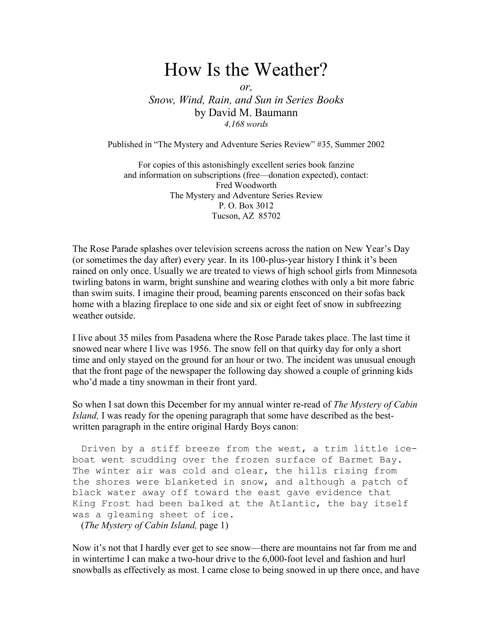## How Is the Weather?

or,

Snow, Wind, Rain, and Sun in Series Books by David M. Baumann 4,168 words

Published in "The Mystery and Adventure Series Review" #35, Summer 2002

For copies of this astonishingly excellent series book fanzine and information on subscriptions (free—donation expected), contact: Fred Woodworth The Mystery and Adventure Series Review P. O. Box 3012 Tucson, AZ 85702

The Rose Parade splashes over television screens across the nation on New Year's Day (or sometimes the day after) every year. In its 100-plus-year history I think it's been rained on only once. Usually we are treated to views of high school girls from Minnesota twirling batons in warm, bright sunshine and wearing clothes with only a bit more fabric than swim suits. I imagine their proud, beaming parents ensconced on their sofas back home with a blazing fireplace to one side and six or eight feet of snow in subfreezing weather outside.

I live about 35 miles from Pasadena where the Rose Parade takes place. The last time it snowed near where I live was 1956. The snow fell on that quirky day for only a short time and only stayed on the ground for an hour or two. The incident was unusual enough that the front page of the newspaper the following day showed a couple of grinning kids who'd made a tiny snowman in their front yard.

So when I sat down this December for my annual winter re-read of *The Mystery of Cabin* Island, I was ready for the opening paragraph that some have described as the bestwritten paragraph in the entire original Hardy Boys canon:

Driven by a stiff breeze from the west, a trim little iceboat went scudding over the frozen surface of Barmet Bay. The winter air was cold and clear, the hills rising from the shores were blanketed in snow, and although a patch of black water away off toward the east gave evidence that King Frost had been balked at the Atlantic, the bay itself was a gleaming sheet of ice.

(The Mystery of Cabin Island, page 1)

Now it's not that I hardly ever get to see snow—there are mountains not far from me and in wintertime I can make a two-hour drive to the 6,000-foot level and fashion and hurl snowballs as effectively as most. I came close to being snowed in up there once, and have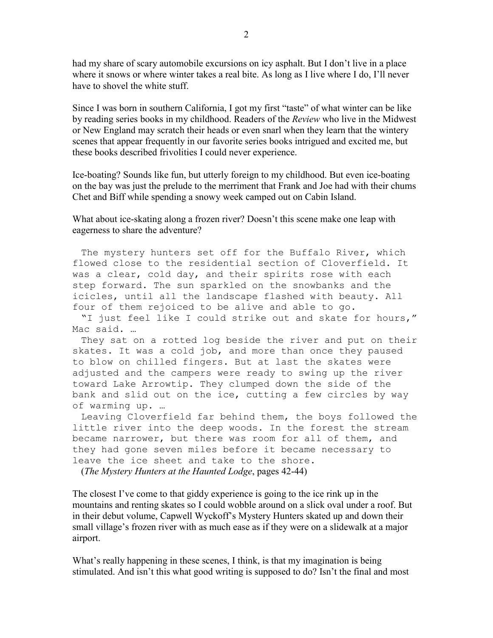had my share of scary automobile excursions on icy asphalt. But I don't live in a place where it snows or where winter takes a real bite. As long as I live where I do, I'll never have to shovel the white stuff.

Since I was born in southern California, I got my first "taste" of what winter can be like by reading series books in my childhood. Readers of the *Review* who live in the Midwest or New England may scratch their heads or even snarl when they learn that the wintery scenes that appear frequently in our favorite series books intrigued and excited me, but these books described frivolities I could never experience.

Ice-boating? Sounds like fun, but utterly foreign to my childhood. But even ice-boating on the bay was just the prelude to the merriment that Frank and Joe had with their chums Chet and Biff while spending a snowy week camped out on Cabin Island.

What about ice-skating along a frozen river? Doesn't this scene make one leap with eagerness to share the adventure?

The mystery hunters set off for the Buffalo River, which flowed close to the residential section of Cloverfield. It was a clear, cold day, and their spirits rose with each step forward. The sun sparkled on the snowbanks and the icicles, until all the landscape flashed with beauty. All four of them rejoiced to be alive and able to go.

 "I just feel like I could strike out and skate for hours," Mac said. …

 They sat on a rotted log beside the river and put on their skates. It was a cold job, and more than once they paused to blow on chilled fingers. But at last the skates were adjusted and the campers were ready to swing up the river toward Lake Arrowtip. They clumped down the side of the bank and slid out on the ice, cutting a few circles by way of warming up. …

 Leaving Cloverfield far behind them, the boys followed the little river into the deep woods. In the forest the stream became narrower, but there was room for all of them, and they had gone seven miles before it became necessary to leave the ice sheet and take to the shore.

(The Mystery Hunters at the Haunted Lodge, pages 42-44)

The closest I've come to that giddy experience is going to the ice rink up in the mountains and renting skates so I could wobble around on a slick oval under a roof. But in their debut volume, Capwell Wyckoff's Mystery Hunters skated up and down their small village's frozen river with as much ease as if they were on a slidewalk at a major airport.

What's really happening in these scenes, I think, is that my imagination is being stimulated. And isn't this what good writing is supposed to do? Isn't the final and most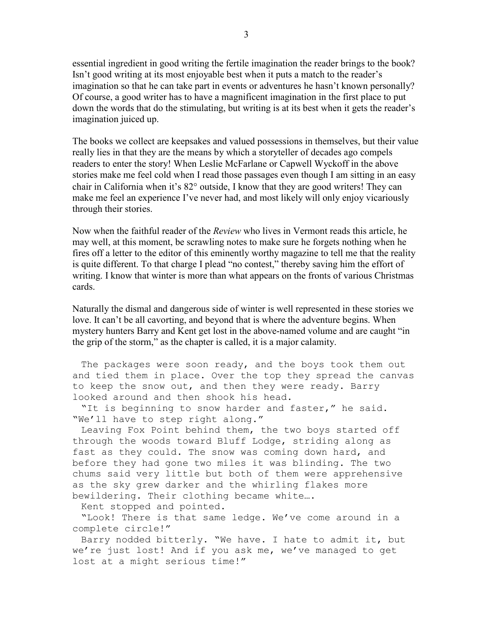essential ingredient in good writing the fertile imagination the reader brings to the book? Isn't good writing at its most enjoyable best when it puts a match to the reader's imagination so that he can take part in events or adventures he hasn't known personally? Of course, a good writer has to have a magnificent imagination in the first place to put down the words that do the stimulating, but writing is at its best when it gets the reader's imagination juiced up.

The books we collect are keepsakes and valued possessions in themselves, but their value really lies in that they are the means by which a storyteller of decades ago compels readers to enter the story! When Leslie McFarlane or Capwell Wyckoff in the above stories make me feel cold when I read those passages even though I am sitting in an easy chair in California when it's 82° outside, I know that they are good writers! They can make me feel an experience I've never had, and most likely will only enjoy vicariously through their stories.

Now when the faithful reader of the *Review* who lives in Vermont reads this article, he may well, at this moment, be scrawling notes to make sure he forgets nothing when he fires off a letter to the editor of this eminently worthy magazine to tell me that the reality is quite different. To that charge I plead "no contest," thereby saving him the effort of writing. I know that winter is more than what appears on the fronts of various Christmas cards.

Naturally the dismal and dangerous side of winter is well represented in these stories we love. It can't be all cavorting, and beyond that is where the adventure begins. When mystery hunters Barry and Kent get lost in the above-named volume and are caught "in the grip of the storm," as the chapter is called, it is a major calamity.

The packages were soon ready, and the boys took them out and tied them in place. Over the top they spread the canvas to keep the snow out, and then they were ready. Barry looked around and then shook his head.

 "It is beginning to snow harder and faster," he said. "We'll have to step right along."

 Leaving Fox Point behind them, the two boys started off through the woods toward Bluff Lodge, striding along as fast as they could. The snow was coming down hard, and before they had gone two miles it was blinding. The two chums said very little but both of them were apprehensive as the sky grew darker and the whirling flakes more bewildering. Their clothing became white….

Kent stopped and pointed.

 "Look! There is that same ledge. We've come around in a complete circle!"

 Barry nodded bitterly. "We have. I hate to admit it, but we're just lost! And if you ask me, we've managed to get lost at a might serious time!"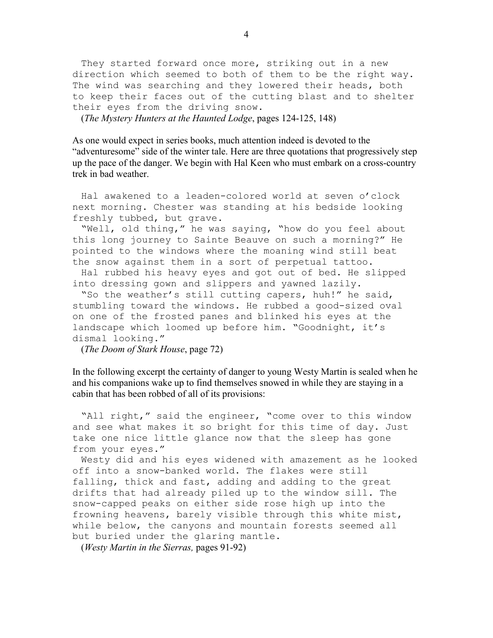They started forward once more, striking out in a new direction which seemed to both of them to be the right way. The wind was searching and they lowered their heads, both to keep their faces out of the cutting blast and to shelter their eyes from the driving snow.

(The Mystery Hunters at the Haunted Lodge, pages 124-125, 148)

As one would expect in series books, much attention indeed is devoted to the "adventuresome" side of the winter tale. Here are three quotations that progressively step up the pace of the danger. We begin with Hal Keen who must embark on a cross-country trek in bad weather.

 Hal awakened to a leaden-colored world at seven o'clock next morning. Chester was standing at his bedside looking freshly tubbed, but grave.

 "Well, old thing," he was saying, "how do you feel about this long journey to Sainte Beauve on such a morning?" He pointed to the windows where the moaning wind still beat the snow against them in a sort of perpetual tattoo.

 Hal rubbed his heavy eyes and got out of bed. He slipped into dressing gown and slippers and yawned lazily.

 "So the weather's still cutting capers, huh!" he said, stumbling toward the windows. He rubbed a good-sized oval on one of the frosted panes and blinked his eyes at the landscape which loomed up before him. "Goodnight, it's dismal looking."

(The Doom of Stark House, page 72)

In the following excerpt the certainty of danger to young Westy Martin is sealed when he and his companions wake up to find themselves snowed in while they are staying in a cabin that has been robbed of all of its provisions:

 "All right," said the engineer, "come over to this window and see what makes it so bright for this time of day. Just take one nice little glance now that the sleep has gone from your eyes."

 Westy did and his eyes widened with amazement as he looked off into a snow-banked world. The flakes were still falling, thick and fast, adding and adding to the great drifts that had already piled up to the window sill. The snow-capped peaks on either side rose high up into the frowning heavens, barely visible through this white mist, while below, the canyons and mountain forests seemed all but buried under the glaring mantle.

(Westy Martin in the Sierras, pages 91-92)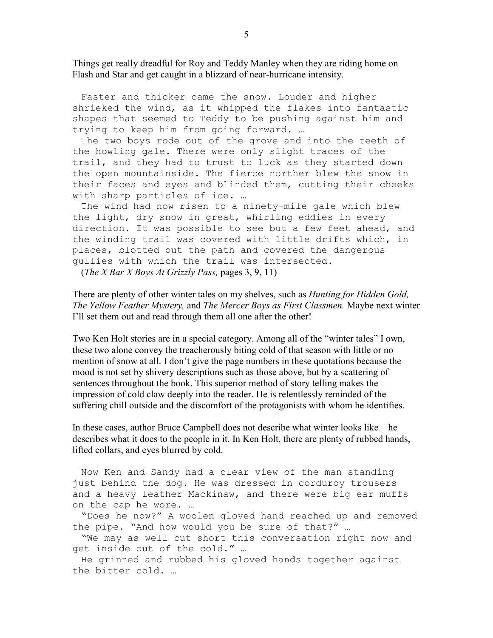Things get really dreadful for Roy and Teddy Manley when they are riding home on Flash and Star and get caught in a blizzard of near-hurricane intensity.

 Faster and thicker came the snow. Louder and higher shrieked the wind, as it whipped the flakes into fantastic shapes that seemed to Teddy to be pushing against him and trying to keep him from going forward. …

 The two boys rode out of the grove and into the teeth of the howling gale. There were only slight traces of the trail, and they had to trust to luck as they started down the open mountainside. The fierce norther blew the snow in their faces and eyes and blinded them, cutting their cheeks with sharp particles of ice. …

 The wind had now risen to a ninety-mile gale which blew the light, dry snow in great, whirling eddies in every direction. It was possible to see but a few feet ahead, and the winding trail was covered with little drifts which, in places, blotted out the path and covered the dangerous gullies with which the trail was intersected.

(The X Bar X Boys At Grizzly Pass, pages 3, 9, 11)

There are plenty of other winter tales on my shelves, such as *Hunting for Hidden Gold*, The Yellow Feather Mystery, and The Mercer Boys as First Classmen. Maybe next winter I'll set them out and read through them all one after the other!

Two Ken Holt stories are in a special category. Among all of the "winter tales" I own, these two alone convey the treacherously biting cold of that season with little or no mention of snow at all. I don't give the page numbers in these quotations because the mood is not set by shivery descriptions such as those above, but by a scattering of sentences throughout the book. This superior method of story telling makes the impression of cold claw deeply into the reader. He is relentlessly reminded of the suffering chill outside and the discomfort of the protagonists with whom he identifies.

In these cases, author Bruce Campbell does not describe what winter looks like—he describes what it does to the people in it. In Ken Holt, there are plenty of rubbed hands, lifted collars, and eyes blurred by cold.

Now Ken and Sandy had a clear view of the man standing just behind the dog. He was dressed in corduroy trousers and a heavy leather Mackinaw, and there were big ear muffs on the cap he wore. …

"Does he now?" A woolen gloved hand reached up and removed the pipe. "And how would you be sure of that?" …

"We may as well cut short this conversation right now and get inside out of the cold." …

He grinned and rubbed his gloved hands together against the bitter cold. …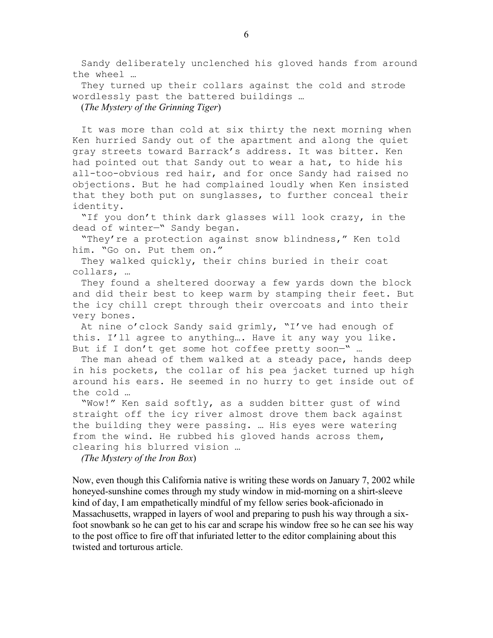Sandy deliberately unclenched his gloved hands from around the wheel …

They turned up their collars against the cold and strode wordlessly past the battered buildings …

(The Mystery of the Grinning Tiger)

It was more than cold at six thirty the next morning when Ken hurried Sandy out of the apartment and along the quiet gray streets toward Barrack's address. It was bitter. Ken had pointed out that Sandy out to wear a hat, to hide his all-too-obvious red hair, and for once Sandy had raised no objections. But he had complained loudly when Ken insisted that they both put on sunglasses, to further conceal their identity.

 "If you don't think dark glasses will look crazy, in the dead of winter—" Sandy began.

"They're a protection against snow blindness," Ken told him. "Go on. Put them on."

 They walked quickly, their chins buried in their coat collars, …

 They found a sheltered doorway a few yards down the block and did their best to keep warm by stamping their feet. But the icy chill crept through their overcoats and into their very bones.

 At nine o'clock Sandy said grimly, "I've had enough of this. I'll agree to anything…. Have it any way you like. But if I don't get some hot coffee pretty soon-" ...

 The man ahead of them walked at a steady pace, hands deep in his pockets, the collar of his pea jacket turned up high around his ears. He seemed in no hurry to get inside out of the cold …

 "Wow!" Ken said softly, as a sudden bitter gust of wind straight off the icy river almost drove them back against the building they were passing. … His eyes were watering from the wind. He rubbed his gloved hands across them, clearing his blurred vision …

(The Mystery of the Iron Box)

Now, even though this California native is writing these words on January 7, 2002 while honeyed-sunshine comes through my study window in mid-morning on a shirt-sleeve kind of day, I am empathetically mindful of my fellow series book-aficionado in Massachusetts, wrapped in layers of wool and preparing to push his way through a sixfoot snowbank so he can get to his car and scrape his window free so he can see his way to the post office to fire off that infuriated letter to the editor complaining about this twisted and torturous article.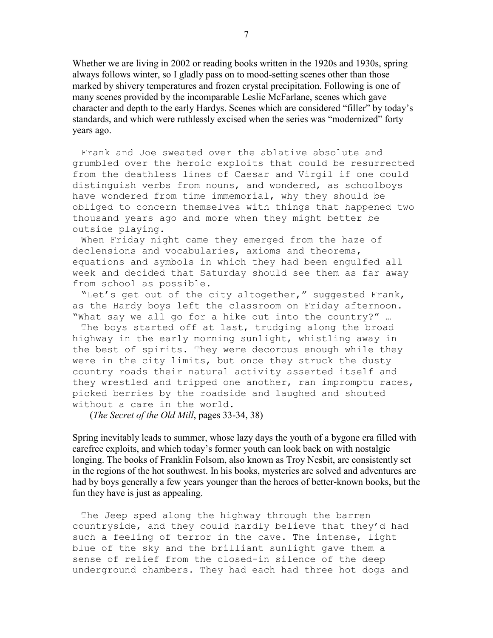Whether we are living in 2002 or reading books written in the 1920s and 1930s, spring always follows winter, so I gladly pass on to mood-setting scenes other than those marked by shivery temperatures and frozen crystal precipitation. Following is one of many scenes provided by the incomparable Leslie McFarlane, scenes which gave character and depth to the early Hardys. Scenes which are considered "filler" by today's standards, and which were ruthlessly excised when the series was "modernized" forty years ago.

Frank and Joe sweated over the ablative absolute and grumbled over the heroic exploits that could be resurrected from the deathless lines of Caesar and Virgil if one could distinguish verbs from nouns, and wondered, as schoolboys have wondered from time immemorial, why they should be obliged to concern themselves with things that happened two thousand years ago and more when they might better be outside playing.

When Friday night came they emerged from the haze of declensions and vocabularies, axioms and theorems, equations and symbols in which they had been engulfed all week and decided that Saturday should see them as far away from school as possible.

"Let's get out of the city altogether," suggested Frank, as the Hardy boys left the classroom on Friday afternoon. "What say we all go for a hike out into the country?" …

The boys started off at last, trudging along the broad highway in the early morning sunlight, whistling away in the best of spirits. They were decorous enough while they were in the city limits, but once they struck the dusty country roads their natural activity asserted itself and they wrestled and tripped one another, ran impromptu races, picked berries by the roadside and laughed and shouted without a care in the world.

(The Secret of the Old Mill, pages 33-34, 38)

Spring inevitably leads to summer, whose lazy days the youth of a bygone era filled with carefree exploits, and which today's former youth can look back on with nostalgic longing. The books of Franklin Folsom, also known as Troy Nesbit, are consistently set in the regions of the hot southwest. In his books, mysteries are solved and adventures are had by boys generally a few years younger than the heroes of better-known books, but the fun they have is just as appealing.

The Jeep sped along the highway through the barren countryside, and they could hardly believe that they'd had such a feeling of terror in the cave. The intense, light blue of the sky and the brilliant sunlight gave them a sense of relief from the closed-in silence of the deep underground chambers. They had each had three hot dogs and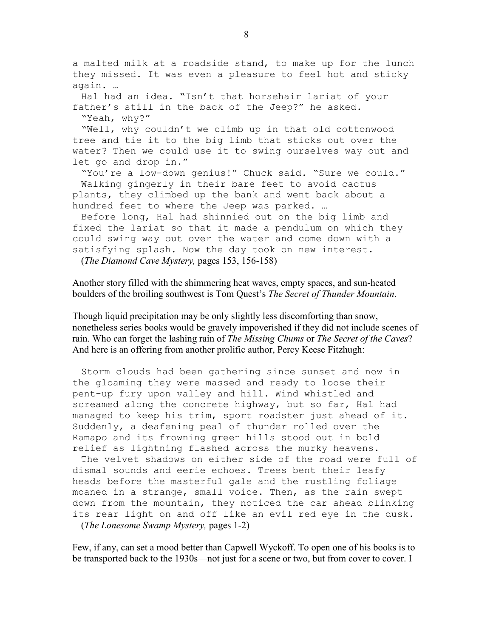a malted milk at a roadside stand, to make up for the lunch they missed. It was even a pleasure to feel hot and sticky again. …

Hal had an idea. "Isn't that horsehair lariat of your father's still in the back of the Jeep?" he asked. "Yeah, why?"

"Well, why couldn't we climb up in that old cottonwood tree and tie it to the big limb that sticks out over the water? Then we could use it to swing ourselves way out and let go and drop in."

"You're a low-down genius!" Chuck said. "Sure we could." Walking gingerly in their bare feet to avoid cactus plants, they climbed up the bank and went back about a hundred feet to where the Jeep was parked. …

Before long, Hal had shinnied out on the big limb and fixed the lariat so that it made a pendulum on which they could swing way out over the water and come down with a satisfying splash. Now the day took on new interest. (The Diamond Cave Mystery, pages 153, 156-158)

Another story filled with the shimmering heat waves, empty spaces, and sun-heated boulders of the broiling southwest is Tom Quest's *The Secret of Thunder Mountain*.

Though liquid precipitation may be only slightly less discomforting than snow, nonetheless series books would be gravely impoverished if they did not include scenes of rain. Who can forget the lashing rain of The Missing Chums or The Secret of the Caves? And here is an offering from another prolific author, Percy Keese Fitzhugh:

 Storm clouds had been gathering since sunset and now in the gloaming they were massed and ready to loose their pent-up fury upon valley and hill. Wind whistled and screamed along the concrete highway, but so far, Hal had managed to keep his trim, sport roadster just ahead of it. Suddenly, a deafening peal of thunder rolled over the Ramapo and its frowning green hills stood out in bold relief as lightning flashed across the murky heavens.

 The velvet shadows on either side of the road were full of dismal sounds and eerie echoes. Trees bent their leafy heads before the masterful gale and the rustling foliage moaned in a strange, small voice. Then, as the rain swept down from the mountain, they noticed the car ahead blinking its rear light on and off like an evil red eye in the dusk. (The Lonesome Swamp Mystery, pages 1-2)

Few, if any, can set a mood better than Capwell Wyckoff. To open one of his books is to be transported back to the 1930s—not just for a scene or two, but from cover to cover. I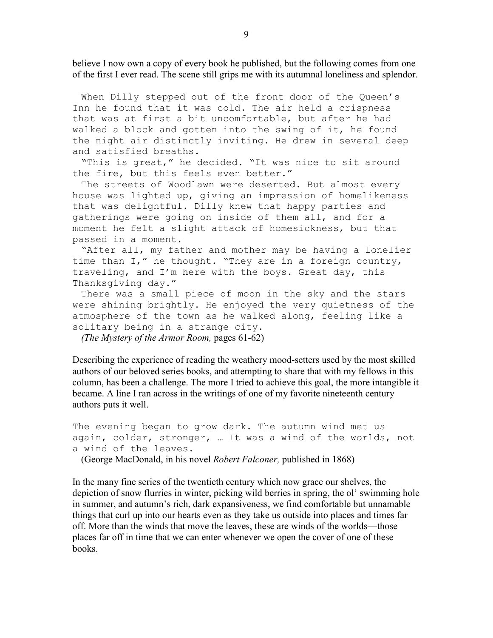believe I now own a copy of every book he published, but the following comes from one of the first I ever read. The scene still grips me with its autumnal loneliness and splendor.

 When Dilly stepped out of the front door of the Queen's Inn he found that it was cold. The air held a crispness that was at first a bit uncomfortable, but after he had walked a block and gotten into the swing of it, he found the night air distinctly inviting. He drew in several deep and satisfied breaths.

 "This is great," he decided. "It was nice to sit around the fire, but this feels even better."

 The streets of Woodlawn were deserted. But almost every house was lighted up, giving an impression of homelikeness that was delightful. Dilly knew that happy parties and gatherings were going on inside of them all, and for a moment he felt a slight attack of homesickness, but that passed in a moment.

 "After all, my father and mother may be having a lonelier time than I," he thought. "They are in a foreign country, traveling, and I'm here with the boys. Great day, this Thanksgiving day."

 There was a small piece of moon in the sky and the stars were shining brightly. He enjoyed the very quietness of the atmosphere of the town as he walked along, feeling like a solitary being in a strange city.

(The Mystery of the Armor Room, pages 61-62)

Describing the experience of reading the weathery mood-setters used by the most skilled authors of our beloved series books, and attempting to share that with my fellows in this column, has been a challenge. The more I tried to achieve this goal, the more intangible it became. A line I ran across in the writings of one of my favorite nineteenth century authors puts it well.

```
The evening began to grow dark. The autumn wind met us 
again, colder, stronger, … It was a wind of the worlds, not 
a wind of the leaves.
```
(George MacDonald, in his novel Robert Falconer, published in 1868)

In the many fine series of the twentieth century which now grace our shelves, the depiction of snow flurries in winter, picking wild berries in spring, the ol' swimming hole in summer, and autumn's rich, dark expansiveness, we find comfortable but unnamable things that curl up into our hearts even as they take us outside into places and times far off. More than the winds that move the leaves, these are winds of the worlds—those places far off in time that we can enter whenever we open the cover of one of these books.